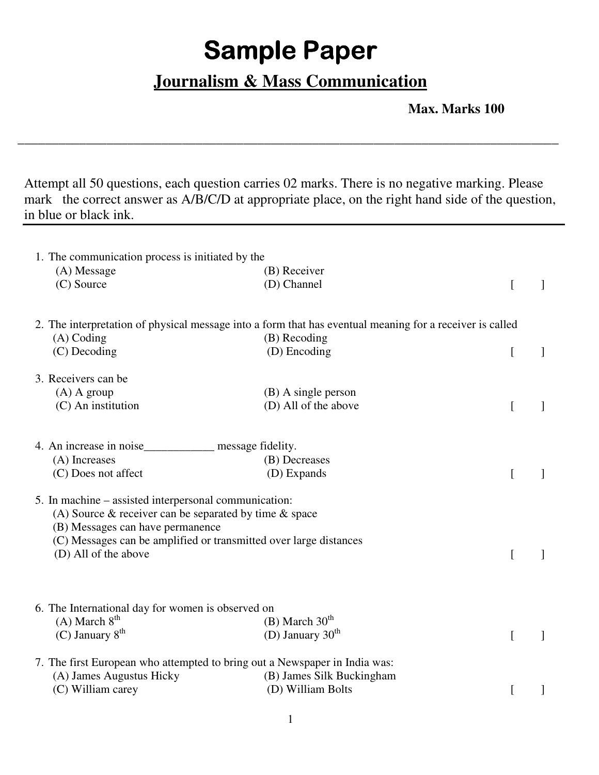## **Sample Paper**

## **Journalism & Mass Communication**

\_\_\_\_\_\_\_\_\_\_\_\_\_\_\_\_\_\_\_\_\_\_\_\_\_\_\_\_\_\_\_\_\_\_\_\_\_\_\_\_\_\_\_\_\_\_\_\_\_\_\_\_\_\_\_\_\_\_\_\_\_\_\_\_\_\_\_\_\_\_\_\_\_\_\_\_\_\_\_

 **Max. Marks 100** 

Attempt all 50 questions, each question carries 02 marks. There is no negative marking. Please mark the correct answer as A/B/C/D at appropriate place, on the right hand side of the question, in blue or black ink.

| 1. The communication process is initiated by the                           |                                                                                                          |   |
|----------------------------------------------------------------------------|----------------------------------------------------------------------------------------------------------|---|
| (A) Message                                                                | (B) Receiver                                                                                             |   |
| (C) Source                                                                 | (D) Channel                                                                                              | 1 |
|                                                                            | 2. The interpretation of physical message into a form that has eventual meaning for a receiver is called |   |
| $(A)$ Coding                                                               | (B) Recoding                                                                                             |   |
| (C) Decoding                                                               | (D) Encoding                                                                                             | 1 |
| 3. Receivers can be                                                        |                                                                                                          |   |
| $(A)$ A group                                                              | $(B)$ A single person                                                                                    |   |
| (C) An institution                                                         | (D) All of the above                                                                                     |   |
| 4. An increase in noise______________ message fidelity.                    |                                                                                                          |   |
| (A) Increases                                                              | (B) Decreases                                                                                            |   |
| (C) Does not affect                                                        | (D) Expands                                                                                              |   |
| 5. In machine – assisted interpersonal communication:                      |                                                                                                          |   |
| (A) Source $\&$ receiver can be separated by time $\&$ space               |                                                                                                          |   |
| (B) Messages can have permanence                                           |                                                                                                          |   |
| (C) Messages can be amplified or transmitted over large distances          |                                                                                                          |   |
| (D) All of the above                                                       |                                                                                                          |   |
|                                                                            |                                                                                                          |   |
| 6. The International day for women is observed on                          |                                                                                                          |   |
| $(A)$ March $8th$                                                          | (B) March $30th$                                                                                         |   |
| (C) January $8^{th}$                                                       | (D) January $30th$                                                                                       |   |
| 7. The first European who attempted to bring out a Newspaper in India was: |                                                                                                          |   |
| (A) James Augustus Hicky                                                   | (B) James Silk Buckingham                                                                                |   |
| (C) William carey                                                          | (D) William Bolts                                                                                        |   |
|                                                                            |                                                                                                          |   |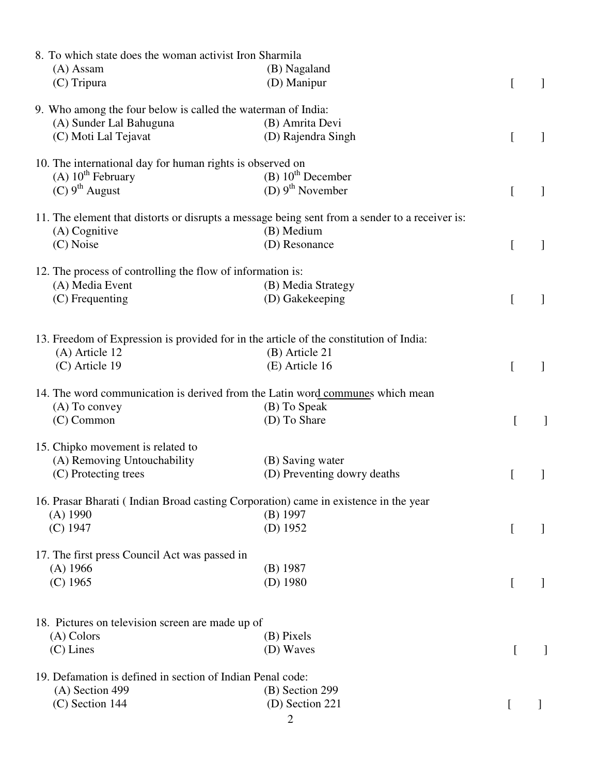| 8. To which state does the woman activist Iron Sharmila      |                                                                                                |                  |  |
|--------------------------------------------------------------|------------------------------------------------------------------------------------------------|------------------|--|
| (A) Assam                                                    | (B) Nagaland                                                                                   |                  |  |
| (C) Tripura                                                  | (D) Manipur                                                                                    | [                |  |
| 9. Who among the four below is called the waterman of India: |                                                                                                |                  |  |
| (A) Sunder Lal Bahuguna                                      | (B) Amrita Devi                                                                                |                  |  |
| (C) Moti Lal Tejavat                                         | (D) Rajendra Singh                                                                             | $\left[ \right]$ |  |
| 10. The international day for human rights is observed on    |                                                                                                |                  |  |
| $(A) 10th$ February                                          | (B) 10 <sup>th</sup> December                                                                  |                  |  |
| $(C)$ 9 <sup>th</sup> August                                 | (D) $9^{th}$ November                                                                          | [                |  |
|                                                              | 11. The element that distorts or disrupts a message being sent from a sender to a receiver is: |                  |  |
| $(A)$ Cognitive                                              | (B) Medium                                                                                     |                  |  |
| (C) Noise                                                    | (D) Resonance                                                                                  | L                |  |
|                                                              |                                                                                                |                  |  |
| 12. The process of controlling the flow of information is:   |                                                                                                |                  |  |
| (A) Media Event                                              | (B) Media Strategy                                                                             |                  |  |
| $(C)$ Frequenting                                            | (D) Gakekeeping                                                                                | $\Gamma$         |  |
|                                                              | 13. Freedom of Expression is provided for in the article of the constitution of India:         |                  |  |
| (A) Article 12                                               | (B) Article 21                                                                                 |                  |  |
| (C) Article 19                                               | (E) Article 16                                                                                 |                  |  |
|                                                              |                                                                                                | [                |  |
|                                                              | 14. The word communication is derived from the Latin word communes which mean                  |                  |  |
| (A) To convey                                                | (B) To Speak                                                                                   |                  |  |
| (C) Common                                                   | (D) To Share                                                                                   |                  |  |
| 15. Chipko movement is related to                            |                                                                                                |                  |  |
| (A) Removing Untouchability                                  | (B) Saving water                                                                               |                  |  |
| (C) Protecting trees                                         | (D) Preventing dowry deaths                                                                    |                  |  |
|                                                              | 16. Prasar Bharati (Indian Broad casting Corporation) came in existence in the year            |                  |  |
| $(A)$ 1990                                                   | $(B)$ 1997                                                                                     |                  |  |
| $(C)$ 1947                                                   | $(D)$ 1952                                                                                     | L                |  |
| 17. The first press Council Act was passed in                |                                                                                                |                  |  |
| $(A)$ 1966                                                   | $(B)$ 1987                                                                                     |                  |  |
| $(C)$ 1965                                                   | $(D)$ 1980                                                                                     | L                |  |
|                                                              |                                                                                                |                  |  |
| 18. Pictures on television screen are made up of             |                                                                                                |                  |  |
| $(A)$ Colors                                                 | (B) Pixels                                                                                     |                  |  |
| $(C)$ Lines                                                  | (D) Waves                                                                                      |                  |  |
| 19. Defamation is defined in section of Indian Penal code:   |                                                                                                |                  |  |
| $(A)$ Section 499                                            | (B) Section 299                                                                                |                  |  |
| $(C)$ Section 144                                            | (D) Section 221                                                                                | $\mathsf{L}$     |  |
|                                                              | $\overline{2}$                                                                                 |                  |  |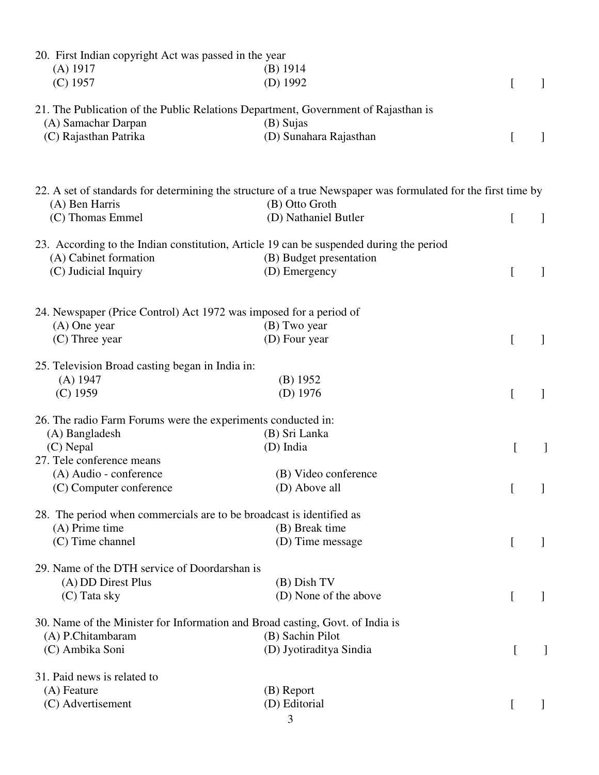| 20. First Indian copyright Act was passed in the year<br>$(A)$ 1917  | $(B)$ 1914                                                                                                    |                  |                                       |
|----------------------------------------------------------------------|---------------------------------------------------------------------------------------------------------------|------------------|---------------------------------------|
| $(C)$ 1957                                                           | $(D)$ 1992                                                                                                    | $\left[ \right]$ |                                       |
|                                                                      | 21. The Publication of the Public Relations Department, Government of Rajasthan is                            |                  |                                       |
| (A) Samachar Darpan                                                  | (B) Sujas                                                                                                     |                  |                                       |
| (C) Rajasthan Patrika                                                | (D) Sunahara Rajasthan                                                                                        | L                |                                       |
|                                                                      | 22. A set of standards for determining the structure of a true Newspaper was formulated for the first time by |                  |                                       |
| (A) Ben Harris                                                       | (B) Otto Groth                                                                                                |                  |                                       |
| (C) Thomas Emmel                                                     | (D) Nathaniel Butler                                                                                          | L                |                                       |
|                                                                      | 23. According to the Indian constitution, Article 19 can be suspended during the period                       |                  |                                       |
| (A) Cabinet formation                                                | (B) Budget presentation                                                                                       |                  |                                       |
| (C) Judicial Inquiry                                                 | (D) Emergency                                                                                                 | [                |                                       |
| 24. Newspaper (Price Control) Act 1972 was imposed for a period of   |                                                                                                               |                  |                                       |
| $(A)$ One year                                                       | (B) Two year                                                                                                  |                  |                                       |
| $(C)$ Three year                                                     | (D) Four year                                                                                                 | [                |                                       |
| 25. Television Broad casting began in India in:                      |                                                                                                               |                  |                                       |
| $(A)$ 1947                                                           | (B) 1952                                                                                                      |                  |                                       |
| $(C)$ 1959                                                           | $(D)$ 1976                                                                                                    | L                | 1                                     |
| 26. The radio Farm Forums were the experiments conducted in:         |                                                                                                               |                  |                                       |
| (A) Bangladesh                                                       | (B) Sri Lanka                                                                                                 |                  |                                       |
| (C) Nepal                                                            | (D) India                                                                                                     |                  |                                       |
| 27. Tele conference means                                            |                                                                                                               |                  |                                       |
| (A) Audio - conference                                               | (B) Video conference                                                                                          |                  |                                       |
| (C) Computer conference                                              | (D) Above all                                                                                                 |                  | $\begin{bmatrix} 1 & 1 \end{bmatrix}$ |
| 28. The period when commercials are to be broadcast is identified as |                                                                                                               |                  |                                       |
| (A) Prime time                                                       | (B) Break time                                                                                                |                  |                                       |
| (C) Time channel                                                     | (D) Time message                                                                                              | $\left[ \right]$ |                                       |
| 29. Name of the DTH service of Doordarshan is                        |                                                                                                               |                  |                                       |
| (A) DD Direst Plus                                                   | $(B)$ Dish TV<br>(D) None of the above                                                                        |                  |                                       |
| (C) Tata sky                                                         |                                                                                                               | [                |                                       |
| (A) P.Chitambaram                                                    | 30. Name of the Minister for Information and Broad casting, Govt. of India is<br>(B) Sachin Pilot             |                  |                                       |
| (C) Ambika Soni                                                      | (D) Jyotiraditya Sindia                                                                                       |                  |                                       |
|                                                                      |                                                                                                               |                  |                                       |
| 31. Paid news is related to<br>(A) Feature                           | (B) Report                                                                                                    |                  |                                       |
| (C) Advertisement                                                    | (D) Editorial                                                                                                 |                  |                                       |
|                                                                      |                                                                                                               | L                |                                       |
|                                                                      | 3                                                                                                             |                  |                                       |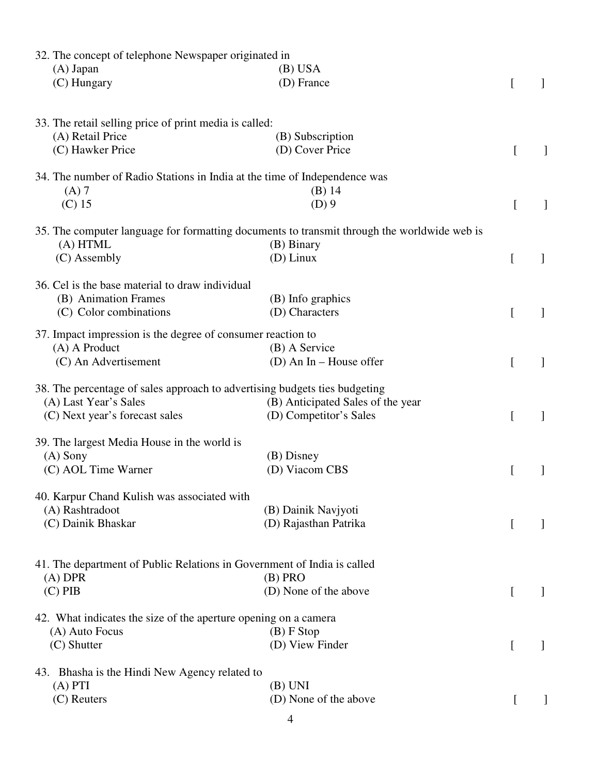| 32. The concept of telephone Newspaper originated in                                 |                                                                                             |          |   |
|--------------------------------------------------------------------------------------|---------------------------------------------------------------------------------------------|----------|---|
| $(A)$ Japan                                                                          | $(B)$ USA                                                                                   |          |   |
| (C) Hungary                                                                          | (D) France                                                                                  | L        |   |
| 33. The retail selling price of print media is called:                               |                                                                                             |          |   |
| (A) Retail Price                                                                     | (B) Subscription                                                                            |          |   |
| (C) Hawker Price                                                                     | (D) Cover Price                                                                             | $\lceil$ |   |
| 34. The number of Radio Stations in India at the time of Independence was            |                                                                                             |          |   |
| $(A)$ 7                                                                              | $(B)$ 14                                                                                    |          |   |
| $(C)$ 15                                                                             | $(D)$ 9                                                                                     | I        | 1 |
|                                                                                      | 35. The computer language for formatting documents to transmit through the worldwide web is |          |   |
| (A) HTML                                                                             | (B) Binary                                                                                  |          |   |
| (C) Assembly                                                                         | $(D)$ Linux                                                                                 | [        |   |
| 36. Cel is the base material to draw individual                                      |                                                                                             |          |   |
| (B) Animation Frames                                                                 | (B) Info graphics                                                                           |          |   |
| (C) Color combinations                                                               | (D) Characters                                                                              | $\Gamma$ |   |
| 37. Impact impression is the degree of consumer reaction to                          |                                                                                             |          |   |
| (A) A Product                                                                        | (B) A Service                                                                               |          |   |
| (C) An Advertisement                                                                 | (D) An In – House offer                                                                     | [        |   |
| 38. The percentage of sales approach to advertising budgets ties budgeting           |                                                                                             |          |   |
| (A) Last Year's Sales                                                                | (B) Anticipated Sales of the year                                                           |          |   |
| (C) Next year's forecast sales                                                       | (D) Competitor's Sales                                                                      | L        | 1 |
| 39. The largest Media House in the world is                                          |                                                                                             |          |   |
| $(A)$ Sony                                                                           | (B) Disney                                                                                  |          |   |
| (C) AOL Time Warner                                                                  | (D) Viacom CBS                                                                              |          |   |
| 40. Karpur Chand Kulish was associated with                                          |                                                                                             |          |   |
| (A) Rashtradoot                                                                      | (B) Dainik Navjyoti                                                                         |          |   |
| (C) Dainik Bhaskar                                                                   | (D) Rajasthan Patrika                                                                       | L        |   |
|                                                                                      |                                                                                             |          |   |
| 41. The department of Public Relations in Government of India is called<br>$(A)$ DPR | $(B)$ PRO                                                                                   |          |   |
| $(C)$ PIB                                                                            | (D) None of the above                                                                       | $\Gamma$ |   |
|                                                                                      |                                                                                             |          |   |
| 42. What indicates the size of the aperture opening on a camera<br>(A) Auto Focus    | $(B)$ F Stop                                                                                |          |   |
| $(C)$ Shutter                                                                        | (D) View Finder                                                                             | L        |   |
| 43. Bhasha is the Hindi New Agency related to                                        |                                                                                             |          |   |
| $(A)$ PTI                                                                            | $(B)$ UNI                                                                                   |          |   |
| $(C)$ Reuters                                                                        | (D) None of the above                                                                       |          |   |
|                                                                                      |                                                                                             |          |   |
|                                                                                      | $\overline{\mathcal{A}}$                                                                    |          |   |